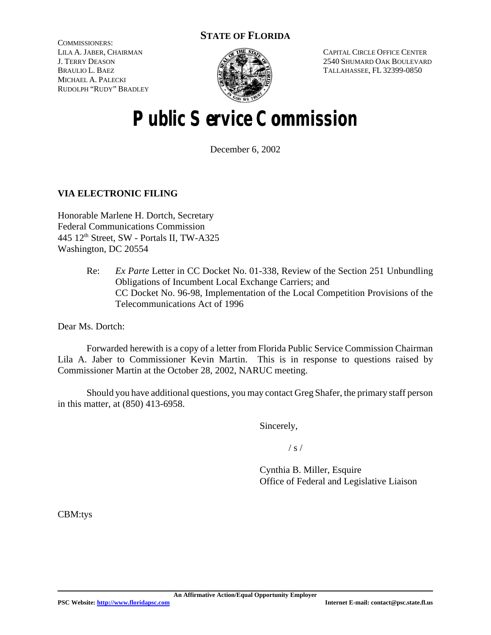### **STATE OF FLORIDA**

COMMISSIONERS: LILA A. JABER, CHAIRMAN J. TERRY DEASON BRAULIO L. BAEZ MICHAEL A. PALECKI RUDOLPH "RUDY" BRADLEY



CAPITAL CIRCLE OFFICE CENTER 2540 SHUMARD OAK BOULEVARD TALLAHASSEE, FL 32399-0850

# **Public Service Commission**

December 6, 2002

### **VIA ELECTRONIC FILING**

Honorable Marlene H. Dortch, Secretary Federal Communications Commission 445 12<sup>th</sup> Street, SW - Portals II, TW-A325 Washington, DC 20554

> Re: *Ex Parte* Letter in CC Docket No. 01-338, Review of the Section 251 Unbundling Obligations of Incumbent Local Exchange Carriers; and CC Docket No. 96-98, Implementation of the Local Competition Provisions of the Telecommunications Act of 1996

Dear Ms. Dortch:

Forwarded herewith is a copy of a letter from Florida Public Service Commission Chairman Lila A. Jaber to Commissioner Kevin Martin. This is in response to questions raised by Commissioner Martin at the October 28, 2002, NARUC meeting.

Should you have additional questions, you may contact Greg Shafer, the primary staff person in this matter, at (850) 413-6958.

Sincerely,

 $/ s /$ 

Cynthia B. Miller, Esquire Office of Federal and Legislative Liaison

CBM:tys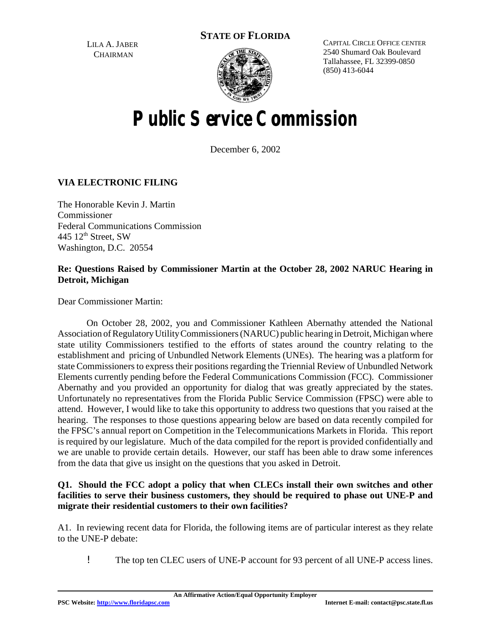**STATE OF FLORIDA**

LILA A. JABER **CHAIRMAN** 



CAPITAL CIRCLE OFFICE CENTER 2540 Shumard Oak Boulevard Tallahassee, FL 32399-0850 (850) 413-6044

# **Public Service Commission**

December 6, 2002

### **VIA ELECTRONIC FILING**

The Honorable Kevin J. Martin Commissioner Federal Communications Commission 445  $12<sup>th</sup>$  Street, SW Washington, D.C. 20554

#### **Re: Questions Raised by Commissioner Martin at the October 28, 2002 NARUC Hearing in Detroit, Michigan**

Dear Commissioner Martin:

On October 28, 2002, you and Commissioner Kathleen Abernathy attended the National Association ofRegulatoryUtilityCommissioners(NARUC) public hearing in Detroit,Michigan where state utility Commissioners testified to the efforts of states around the country relating to the establishment and pricing of Unbundled Network Elements (UNEs). The hearing was a platform for state Commissioners to express their positions regarding the Triennial Review of Unbundled Network Elements currently pending before the Federal Communications Commission (FCC). Commissioner Abernathy and you provided an opportunity for dialog that was greatly appreciated by the states. Unfortunately no representatives from the Florida Public Service Commission (FPSC) were able to attend. However, I would like to take this opportunity to address two questions that you raised at the hearing. The responses to those questions appearing below are based on data recently compiled for the FPSC's annual report on Competition in the Telecommunications Markets in Florida. This report is required by our legislature. Much of the data compiled for the report is provided confidentially and we are unable to provide certain details. However, our staff has been able to draw some inferences from the data that give us insight on the questions that you asked in Detroit.

#### **Q1. Should the FCC adopt a policy that when CLECs install their own switches and other facilities to serve their business customers, they should be required to phase out UNE-P and migrate their residential customers to their own facilities?**

A1. In reviewing recent data for Florida, the following items are of particular interest as they relate to the UNE-P debate:

! The top ten CLEC users of UNE-P account for 93 percent of all UNE-P access lines.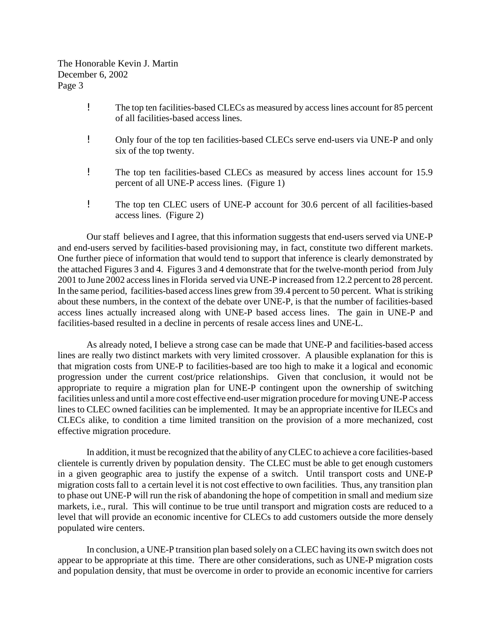The Honorable Kevin J. Martin December 6, 2002 Page 3

- ! The top ten facilities-based CLECs as measured by access lines account for 85 percent of all facilities-based access lines.
- ! Only four of the top ten facilities-based CLECs serve end-users via UNE-P and only six of the top twenty.
- ! The top ten facilities-based CLECs as measured by access lines account for 15.9 percent of all UNE-P access lines. (Figure 1)
- ! The top ten CLEC users of UNE-P account for 30.6 percent of all facilities-based access lines. (Figure 2)

Our staff believes and I agree, that this information suggests that end-users served via UNE-P and end-users served by facilities-based provisioning may, in fact, constitute two different markets. One further piece of information that would tend to support that inference is clearly demonstrated by the attached Figures 3 and 4. Figures 3 and 4 demonstrate that for the twelve-month period from July 2001 to June 2002 accesslinesin Florida served via UNE-P increased from 12.2 percent to 28 percent. In the same period, facilities-based access lines grew from 39.4 percent to 50 percent. What is striking about these numbers, in the context of the debate over UNE-P, is that the number of facilities-based access lines actually increased along with UNE-P based access lines. The gain in UNE-P and facilities-based resulted in a decline in percents of resale access lines and UNE-L.

As already noted, I believe a strong case can be made that UNE-P and facilities-based access lines are really two distinct markets with very limited crossover. A plausible explanation for this is that migration costs from UNE-P to facilities-based are too high to make it a logical and economic progression under the current cost/price relationships. Given that conclusion, it would not be appropriate to require a migration plan for UNE-P contingent upon the ownership of switching facilities unless and until a more cost effective end-user migration procedure for moving UNE-P access lines to CLEC owned facilities can be implemented. It may be an appropriate incentive for ILECs and CLECs alike, to condition a time limited transition on the provision of a more mechanized, cost effective migration procedure.

In addition, it must be recognized that the ability of anyCLEC to achieve a core facilities-based clientele is currently driven by population density. The CLEC must be able to get enough customers in a given geographic area to justify the expense of a switch. Until transport costs and UNE-P migration costs fall to a certain level it is not cost effective to own facilities. Thus, any transition plan to phase out UNE-P will run the risk of abandoning the hope of competition in small and medium size markets, i.e., rural. This will continue to be true until transport and migration costs are reduced to a level that will provide an economic incentive for CLECs to add customers outside the more densely populated wire centers.

In conclusion, a UNE-P transition plan based solely on a CLEC having its own switch does not appear to be appropriate at this time. There are other considerations, such as UNE-P migration costs and population density, that must be overcome in order to provide an economic incentive for carriers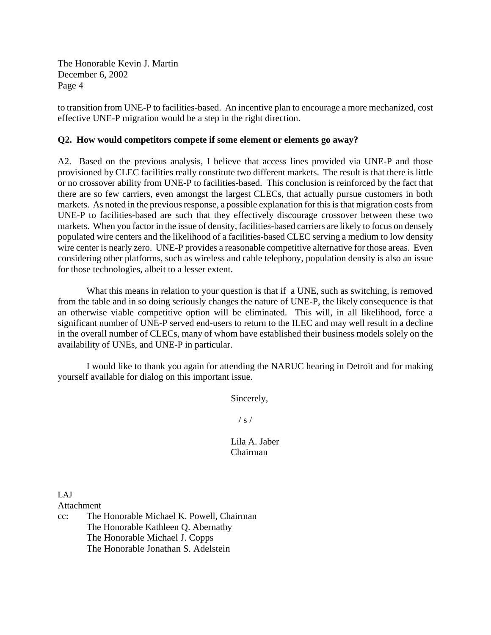The Honorable Kevin J. Martin December 6, 2002 Page 4

to transition from UNE-P to facilities-based. An incentive plan to encourage a more mechanized, cost effective UNE-P migration would be a step in the right direction.

#### **Q2. How would competitors compete if some element or elements go away?**

A2. Based on the previous analysis, I believe that access lines provided via UNE-P and those provisioned by CLEC facilities really constitute two different markets. The result is that there is little or no crossover ability from UNE-P to facilities-based. This conclusion is reinforced by the fact that there are so few carriers, even amongst the largest CLECs, that actually pursue customers in both markets. As noted in the previous response, a possible explanation for this is that migration costs from UNE-P to facilities-based are such that they effectively discourage crossover between these two markets. When you factor in the issue of density, facilities-based carriers are likely to focus on densely populated wire centers and the likelihood of a facilities-based CLEC serving a medium to low density wire center is nearly zero. UNE-P provides a reasonable competitive alternative for those areas. Even considering other platforms, such as wireless and cable telephony, population density is also an issue for those technologies, albeit to a lesser extent.

What this means in relation to your question is that if a UNE, such as switching, is removed from the table and in so doing seriously changes the nature of UNE-P, the likely consequence is that an otherwise viable competitive option will be eliminated. This will, in all likelihood, force a significant number of UNE-P served end-users to return to the ILEC and may well result in a decline in the overall number of CLECs, many of whom have established their business models solely on the availability of UNEs, and UNE-P in particular.

I would like to thank you again for attending the NARUC hearing in Detroit and for making yourself available for dialog on this important issue.

Sincerely,

 $/ s /$ 

Lila A. Jaber Chairman

LAJ Attachment

cc: The Honorable Michael K. Powell, Chairman The Honorable Kathleen Q. Abernathy The Honorable Michael J. Copps The Honorable Jonathan S. Adelstein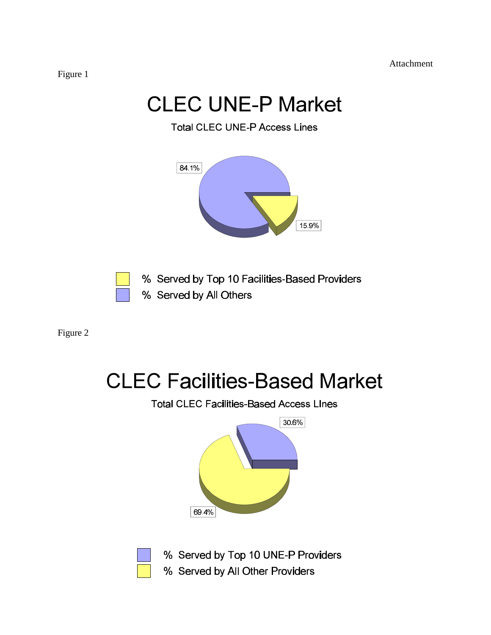Attachment

# **CLEC UNE-P Market**

**Total CLEC UNE-P Access Lines** 



% Served by Top 10 Facilities-Based Providers % Served by All Others

Figure 2

# **CLEC Facilities-Based Market**

**Total CLEC Facilities-Based Access LInes** 





% Served by Top 10 UNE-P Providers

% Served by All Other Providers